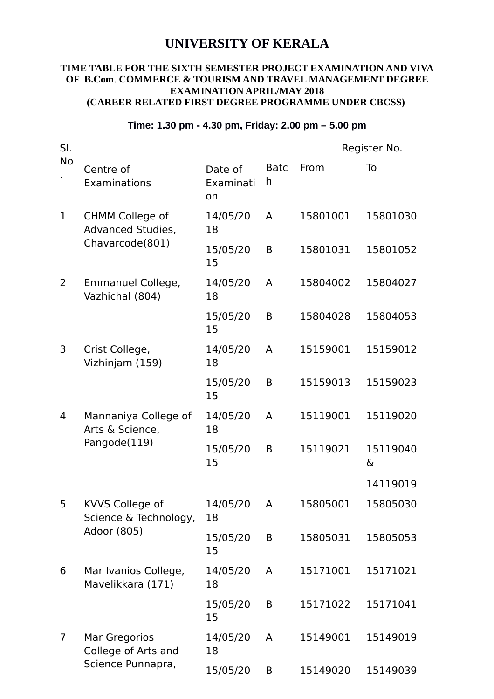## **UNIVERSITY OF KERALA**

## **TIME TABLE FOR THE SIXTH SEMESTER PROJECT EXAMINATION AND VIVA OF B.Com**. **COMMERCE & TOURISM AND TRAVEL MANAGEMENT DEGREE EXAMINATION APRIL/MAY 2018 (CAREER RELATED FIRST DEGREE PROGRAMME UNDER CBCSS)**

## **Time: 1.30 pm - 4.30 pm, Friday: 2.00 pm – 5.00 pm**

| SI.            |                                                                       |                            |                  | Register No. |               |  |
|----------------|-----------------------------------------------------------------------|----------------------------|------------------|--------------|---------------|--|
| <b>No</b>      | Centre of<br>Examinations                                             | Date of<br>Examinati<br>on | <b>Batc</b><br>h | From         | To            |  |
| $\mathbf 1$    | <b>CHMM College of</b><br><b>Advanced Studies,</b><br>Chavarcode(801) | 14/05/20<br>18             | A                | 15801001     | 15801030      |  |
|                |                                                                       | 15/05/20<br>15             | B                | 15801031     | 15801052      |  |
| 2              | Emmanuel College,<br>Vazhichal (804)                                  | 14/05/20<br>18             | A                | 15804002     | 15804027      |  |
|                |                                                                       | 15/05/20<br>15             | B                | 15804028     | 15804053      |  |
| 3              | Crist College,<br>Vizhinjam (159)                                     | 14/05/20<br>18             | A                | 15159001     | 15159012      |  |
|                |                                                                       | 15/05/20<br>15             | B                | 15159013     | 15159023      |  |
| 4              | Mannaniya College of<br>Arts & Science,<br>Pangode(119)               | 14/05/20<br>18             | A                | 15119001     | 15119020      |  |
|                |                                                                       | 15/05/20<br>15             | B                | 15119021     | 15119040<br>& |  |
|                |                                                                       |                            |                  |              | 14119019      |  |
| 5              | KVVS College of<br>Science & Technology,<br>Adoor (805)               | 14/05/20<br>18             | A                | 15805001     | 15805030      |  |
|                |                                                                       | 15/05/20<br>15             | B                | 15805031     | 15805053      |  |
| 6              | Mar Ivanios College,<br>Mavelikkara (171)                             | 14/05/20<br>18             | A                | 15171001     | 15171021      |  |
|                |                                                                       | 15/05/20<br>15             | B                | 15171022     | 15171041      |  |
| $\overline{7}$ | Mar Gregorios<br>College of Arts and<br>Science Punnapra,             | 14/05/20<br>18             | A                | 15149001     | 15149019      |  |
|                |                                                                       | 15/05/20                   | B                | 15149020     | 15149039      |  |